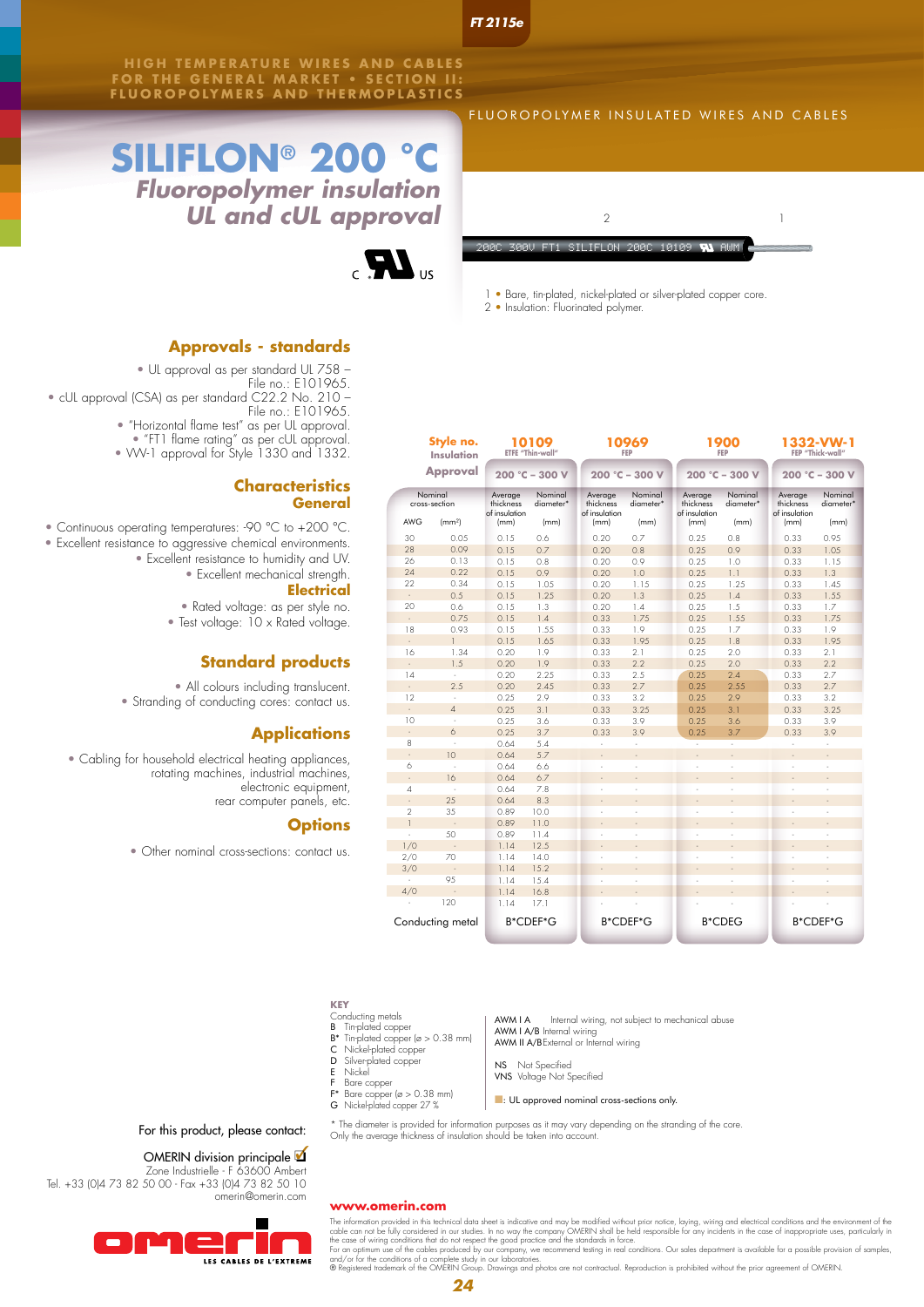*FT 2115e*

**HIGH TEMPERATURE WIRES AND CABLES FOR THE GENERAL MARKET • SECTION II: FLUOROPOLYMERS AND THERMOPLAST ICS**

# **SILIFLON® 200 °C** *Fluoropolymer insulation UL and cUL approval*



### **Approvals - standards**

- UL approval as per standard UL 758
	- File no.: E101965.
- cUL approval (CSA) as per standard C22.2 No. 210
	- File no.: E101965.
	- "Horizontal flame test" as per UL approval.
	- "FT1 flame rating" as per cUL approval.
	- VW-1 approval for Style 1330 and 1332.

# **Characteristics General**<br>External of the state of the state of the General Section 1999, and the state of the state of the state of the

• Continuous operating temperatures: -90 °C to +200 °C.

- Excellent resistance to aggressive chemical environments. • Excellent resistance to humidity and UV.
	- Excellent mechanical strength. **Electrical**

• Rated voltage: as per style no.

• Test voltage: 10 x Rated voltage.

# **Standard products**

• All colours including translucent. • Stranding of conducting cores: contact us.

# **Applications**

• Cabling for household electrical heating appliances, rotating machines, industrial machines, electronic equipment, rear computer panels, etc.

### **Options**

• Other nominal cross-sections: contact us.

## FLUOROPOLYMER INSULATED WIRES AND CABLES



1 • Bare, tin-plated, nickel-plated or silver-plated copper core.

2 • Insulation: Fluorinated polymer.

| Style no.<br><b>Insulation</b><br><b>Approval</b> |                    | 10109<br>ETFE "Thin-wall"<br>$200 °C - 300 V$ |                      |                                       | 10969<br>FEP         |                                       | 1900<br>FEP          | 1332-VW-1<br>FEP "Thick-wall"         |                      |  |
|---------------------------------------------------|--------------------|-----------------------------------------------|----------------------|---------------------------------------|----------------------|---------------------------------------|----------------------|---------------------------------------|----------------------|--|
|                                                   |                    |                                               |                      | $200 °C - 300 V$                      |                      |                                       | $200 °C - 300 V$     | $200 °C - 300 V$                      |                      |  |
| Nominal<br>cross-section                          |                    | Average<br>thickness<br>of insulation         | Nominal<br>diameter* | Average<br>thickness<br>of insulation | Nominal<br>diameter* | Average<br>thickness<br>of insulation | Nominal<br>diameter* | Average<br>thickness<br>of insulation | Nominal<br>diameter* |  |
| <b>AWG</b>                                        | (mm <sup>2</sup> ) | (mm)                                          | (mm)                 | (mm)                                  | (mm)                 | (mm)                                  | (mm)                 | (mm)                                  | (mm)                 |  |
| 30                                                | 0.05               | 015                                           | 0.6                  | 0.20                                  | 0.7                  | 0.25                                  | 0.8                  | 0.33                                  | 0.95                 |  |
| 28                                                | 0.09               | 015                                           | 07                   | 0.20                                  | 08                   | 0.25                                  | 09                   | 0.33                                  | 1.05                 |  |
| 26                                                | 0.13               | 0.15                                          | 0.8                  | 0.20                                  | 0.9                  | 0.25                                  | 1.0                  | 0.33                                  | 1.15                 |  |
| 24                                                | 0.22               | 0.15                                          | 0.9                  | 0.20                                  | 1.0                  | 0.25                                  | 1.1                  | 0.33                                  | 1.3                  |  |
| 22                                                | 0.34               | 0.15                                          | 10.5                 | 0.20                                  | 1 1.5                | 0.25                                  | 1.25                 | 0.33                                  | 14.5                 |  |
| ä,                                                | 0.5                | 0.15                                          | 1.25                 | 0.20                                  | 1.3                  | 0.25                                  | 14                   | 0.33                                  | 1.55                 |  |
| 20                                                | 06                 | 0.15                                          | 1.3                  | 0.20                                  | 14                   | 0.25                                  | 1.5                  | 0.33                                  | 1.7                  |  |
| ÷.                                                | 075                | 0.15                                          | 1.4                  | 0.33                                  | 1.75                 | 0.25                                  | 1.55                 | 0.33                                  | 1.75                 |  |
| 18                                                | 0.93               | 0.15                                          | 1.55                 | 0.33                                  | 1.9                  | 0.25                                  | 1.7                  | 0.33                                  | 1.9                  |  |
|                                                   | $\mathbf{1}$       | 0.15                                          | 1.65                 | 0.33                                  | 1.95                 | 0.25                                  | 1.8                  | 0.33                                  | 1.95                 |  |
| 16                                                | 1.34               | 0.20                                          | 19                   | 0.33                                  | 21                   | 0.25                                  | 20                   | 0.33                                  | 21                   |  |
| l,                                                | 1.5                | 0.20                                          | 19                   | 0.33                                  | 22                   | 0.25                                  | 20                   | 0.33                                  | 22                   |  |
| 14                                                | ×                  | 0.20                                          | 2.25                 | 0.33                                  | 2.5                  | 0.25                                  | 2.4                  | 0.33                                  | 2.7                  |  |
| ÷.                                                | 2.5                | 0.20                                          | 2.45                 | 0.33                                  | 2.7                  | 0.25                                  | 2.55                 | 0.33                                  | 2.7                  |  |
| 12                                                | J.                 | 0.25                                          | 2.9                  | 0.33                                  | 3.2                  | 0.25                                  | 2.9                  | 0.33                                  | 3.2                  |  |
| i,                                                | $\overline{A}$     | 0.25                                          | 31                   | 0.33                                  | 3 25                 | 0.25                                  | 3 <sub>1</sub>       | 0.33                                  | 3 25                 |  |
| 10                                                | ×,                 | 0.25                                          | 3.6                  | 0.33                                  | 3.9                  | 0.25                                  | 3.6                  | 0.33                                  | 3.9                  |  |
| $\overline{a}$                                    | 6                  | 0.25                                          | 3.7                  | 0.33                                  | 3.9                  | 0.25                                  | 37                   | 0.33                                  | 3.9                  |  |
| 8                                                 | ÷,                 | 0.64                                          | 5.4                  | ä,                                    | J.                   | ÷.                                    | ä,                   | ÷.                                    | ÷,                   |  |
| ä,                                                | 10                 | 0.64                                          | 5.7                  |                                       |                      |                                       |                      |                                       |                      |  |
| 6                                                 | ł,                 | 0.64                                          | 6.6                  | ä,                                    | J.                   |                                       | ä,                   |                                       | ł,                   |  |
| ä,                                                | 16                 | 0.64                                          | 6.7                  | ÷.                                    | ÷.                   | ÷.                                    | ÷.                   | ÷.                                    | ÷.                   |  |
| $\overline{4}$                                    | J.                 | 0.64                                          | 7.8                  | J.                                    | J.                   | ×.                                    | ÷,                   | ä,                                    | J.                   |  |
| $\overline{a}$                                    | 25                 | 0.64                                          | 8.3                  |                                       | ä,                   | ä,                                    | ä,                   | ä,                                    | ä,                   |  |
| $\overline{2}$                                    | 3.5                | 0.89                                          | 100                  | ä,                                    | J.                   | J.                                    | ä,                   | J.                                    | ÷,                   |  |
| $\overline{1}$                                    | ÷,                 | 0.89                                          | 11.0                 |                                       | J.                   |                                       | L.                   | ÷.                                    | L,                   |  |
|                                                   | 50                 | 0.89                                          | 11.4                 | ä,                                    | J.                   |                                       | ä,                   |                                       | ł,                   |  |
| 1/0                                               |                    | 114                                           | 12.5                 |                                       | ÷.                   |                                       | ä,                   |                                       | í,                   |  |
| 2/0                                               | 70                 | 1.14                                          | 14.0                 | J.                                    | J.                   | J.                                    | ä,                   | ä,                                    | ł.                   |  |
| 3/0                                               | l,                 | 114                                           | 1.52                 |                                       | J.                   |                                       | ÷.                   |                                       | J.                   |  |
| ÷,                                                | 9.5                | 114                                           | 1.54                 | J.                                    | J.                   | ×,                                    | ä,                   | ÷                                     | t,                   |  |
| 4/0                                               |                    | 1.14                                          | 16.8                 |                                       | <b>STATE</b>         |                                       | L.                   |                                       | L,                   |  |
|                                                   | 120                | 1.14                                          | 17.1                 |                                       |                      |                                       |                      |                                       |                      |  |
| Conducting metal                                  |                    | <b>B*CDEF*G</b>                               |                      | B*CDEF*G                              |                      |                                       | <b>B*CDEG</b>        | B*CDEF*G                              |                      |  |

#### **KEY**

Conducting metals

- 
- B Tin-plated copper B\* Tin-plated copper (ø > 0.38 mm) C Nickel-plated copper
- D Silver-plated copper<br>E Nickel
- E Nickel
- 
- F Bare copper F\* Bare copper (ø > 0.38 mm)
- G Nickel-plated copper 27 %

For this product, please contact:

# OMERIN division principale  $\blacksquare$

Zone Industrielle - F 63600 Ambert Tel. +33 (0)4 73 82 50 00 - Fax +33 (0)4 73 82 50 10 omerin@omerin.com



#### **www.omerin.com**

The information provided in this technical data sheet is indicative and may be modified without prior notice, laying, wiring and electrical conditions and the environment of the case of inappropriate uses, particularly in

AWM I A Internal wiring, not subject to mechanical abuse AWM I A/B Internal wiring

AWM II A/BExternal or Internal wiring

NS Not Specified VNS Voltage Not Specified

- - **n:** UL approved nominal cross-sections only.

\* The diameter is provided for information purposes as it may vary depending on the stranding of the core. Only the average thickness of insulation should be taken into account.